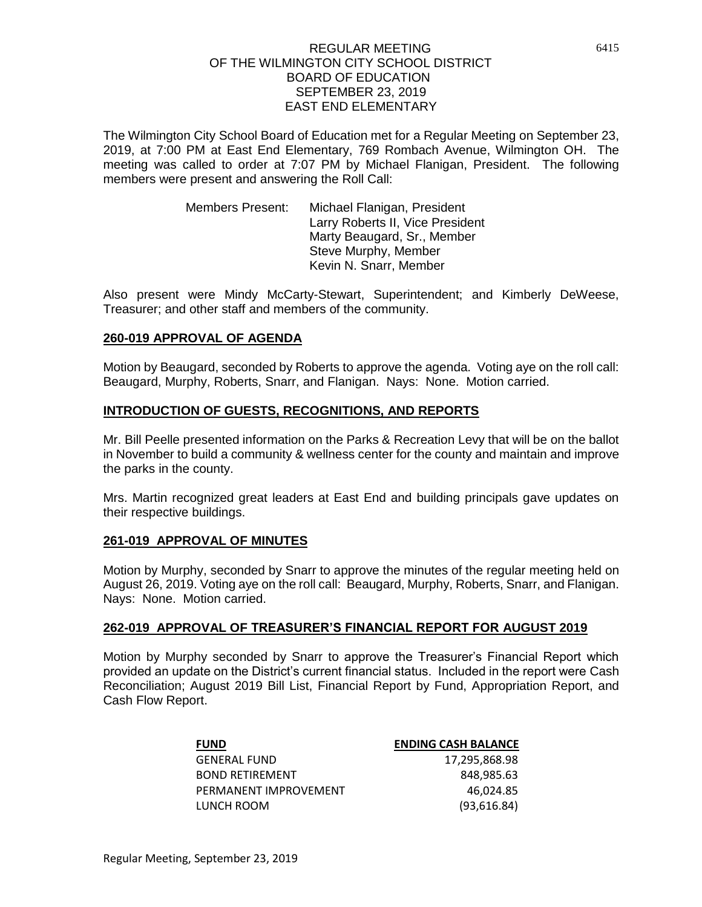The Wilmington City School Board of Education met for a Regular Meeting on September 23, 2019, at 7:00 PM at East End Elementary, 769 Rombach Avenue, Wilmington OH. The meeting was called to order at 7:07 PM by Michael Flanigan, President. The following members were present and answering the Roll Call:

> Members Present: Michael Flanigan, President Larry Roberts II, Vice President Marty Beaugard, Sr., Member Steve Murphy, Member Kevin N. Snarr, Member

Also present were Mindy McCarty-Stewart, Superintendent; and Kimberly DeWeese, Treasurer; and other staff and members of the community.

#### **260-019 APPROVAL OF AGENDA**

Motion by Beaugard, seconded by Roberts to approve the agenda. Voting aye on the roll call: Beaugard, Murphy, Roberts, Snarr, and Flanigan. Nays: None. Motion carried.

### **INTRODUCTION OF GUESTS, RECOGNITIONS, AND REPORTS**

Mr. Bill Peelle presented information on the Parks & Recreation Levy that will be on the ballot in November to build a community & wellness center for the county and maintain and improve the parks in the county.

Mrs. Martin recognized great leaders at East End and building principals gave updates on their respective buildings.

## **261-019 APPROVAL OF MINUTES**

Motion by Murphy, seconded by Snarr to approve the minutes of the regular meeting held on August 26, 2019. Voting aye on the roll call: Beaugard, Murphy, Roberts, Snarr, and Flanigan. Nays: None. Motion carried.

#### **262-019 APPROVAL OF TREASURER'S FINANCIAL REPORT FOR AUGUST 2019**

Motion by Murphy seconded by Snarr to approve the Treasurer's Financial Report which provided an update on the District's current financial status. Included in the report were Cash Reconciliation; August 2019 Bill List, Financial Report by Fund, Appropriation Report, and Cash Flow Report.

| <b>FUND</b>            | <b>ENDING CASH BALANCE</b> |
|------------------------|----------------------------|
| <b>GENERAL FUND</b>    | 17,295,868.98              |
| <b>BOND RETIREMENT</b> | 848.985.63                 |
| PERMANENT IMPROVEMENT  | 46.024.85                  |
| LUNCH ROOM             | (93,616.84)                |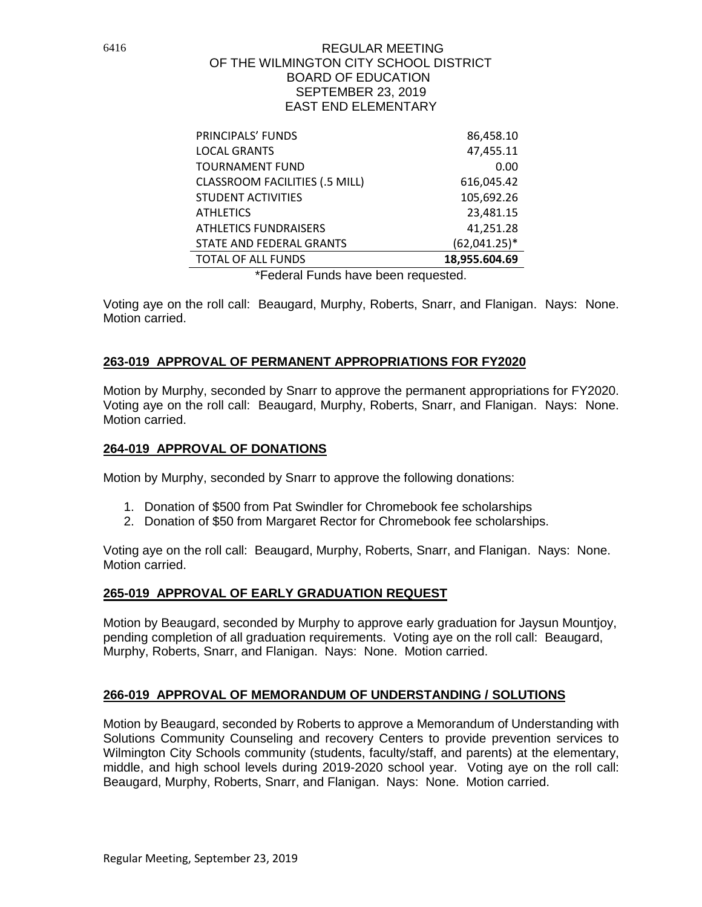| PRINCIPALS' FUNDS                     | 86,458.10       |
|---------------------------------------|-----------------|
| <b>LOCAL GRANTS</b>                   | 47,455.11       |
| <b>TOURNAMENT FUND</b>                | 0.00            |
| <b>CLASSROOM FACILITIES (.5 MILL)</b> | 616,045.42      |
| <b>STUDENT ACTIVITIES</b>             | 105,692.26      |
| <b>ATHLETICS</b>                      | 23,481.15       |
| <b>ATHLETICS FUNDRAISERS</b>          | 41,251.28       |
| STATE AND FEDERAL GRANTS              | $(62,041.25)^*$ |
| <b>TOTAL OF ALL FUNDS</b>             | 18,955.604.69   |

\*Federal Funds have been requested.

Voting aye on the roll call: Beaugard, Murphy, Roberts, Snarr, and Flanigan. Nays: None. Motion carried.

## **263-019 APPROVAL OF PERMANENT APPROPRIATIONS FOR FY2020**

Motion by Murphy, seconded by Snarr to approve the permanent appropriations for FY2020. Voting aye on the roll call: Beaugard, Murphy, Roberts, Snarr, and Flanigan. Nays: None. Motion carried.

### **264-019 APPROVAL OF DONATIONS**

Motion by Murphy, seconded by Snarr to approve the following donations:

- 1. Donation of \$500 from Pat Swindler for Chromebook fee scholarships
- 2. Donation of \$50 from Margaret Rector for Chromebook fee scholarships.

Voting aye on the roll call: Beaugard, Murphy, Roberts, Snarr, and Flanigan. Nays: None. Motion carried.

## **265-019 APPROVAL OF EARLY GRADUATION REQUEST**

Motion by Beaugard, seconded by Murphy to approve early graduation for Jaysun Mountjoy, pending completion of all graduation requirements. Voting aye on the roll call: Beaugard, Murphy, Roberts, Snarr, and Flanigan. Nays: None. Motion carried.

## **266-019 APPROVAL OF MEMORANDUM OF UNDERSTANDING / SOLUTIONS**

Motion by Beaugard, seconded by Roberts to approve a Memorandum of Understanding with Solutions Community Counseling and recovery Centers to provide prevention services to Wilmington City Schools community (students, faculty/staff, and parents) at the elementary, middle, and high school levels during 2019-2020 school year. Voting aye on the roll call: Beaugard, Murphy, Roberts, Snarr, and Flanigan. Nays: None. Motion carried.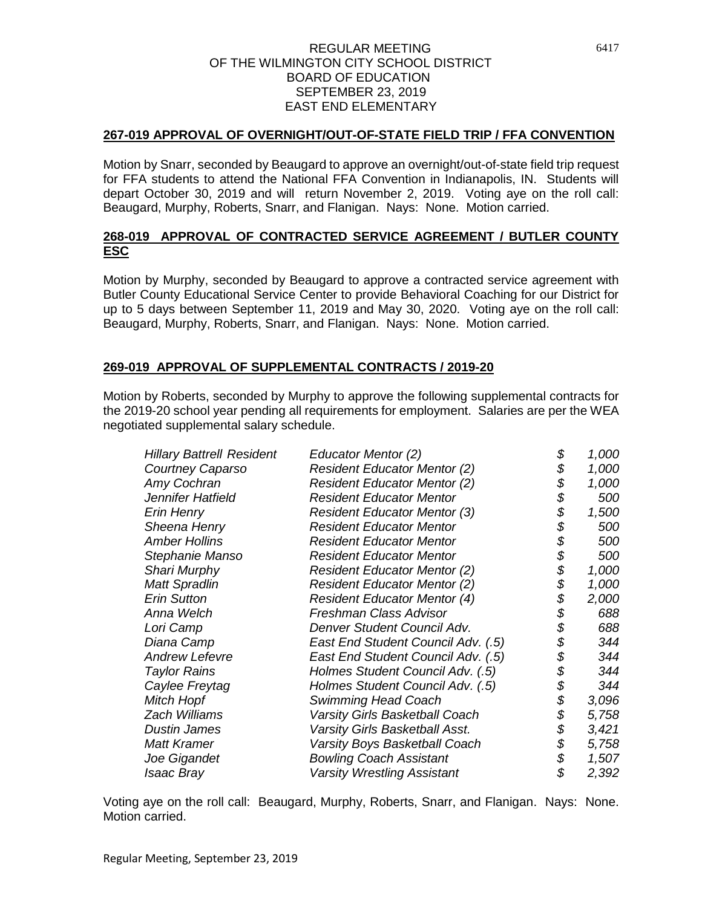### **267-019 APPROVAL OF OVERNIGHT/OUT-OF-STATE FIELD TRIP / FFA CONVENTION**

Motion by Snarr, seconded by Beaugard to approve an overnight/out-of-state field trip request for FFA students to attend the National FFA Convention in Indianapolis, IN. Students will depart October 30, 2019 and will return November 2, 2019. Voting aye on the roll call: Beaugard, Murphy, Roberts, Snarr, and Flanigan. Nays: None. Motion carried.

## **268-019 APPROVAL OF CONTRACTED SERVICE AGREEMENT / BUTLER COUNTY ESC**

Motion by Murphy, seconded by Beaugard to approve a contracted service agreement with Butler County Educational Service Center to provide Behavioral Coaching for our District for up to 5 days between September 11, 2019 and May 30, 2020. Voting aye on the roll call: Beaugard, Murphy, Roberts, Snarr, and Flanigan. Nays: None. Motion carried.

# **269-019 APPROVAL OF SUPPLEMENTAL CONTRACTS / 2019-20**

Motion by Roberts, seconded by Murphy to approve the following supplemental contracts for the 2019-20 school year pending all requirements for employment. Salaries are per the WEA negotiated supplemental salary schedule.

| Educator Mentor (2)                                                           | \$ | 1,000                                              |
|-------------------------------------------------------------------------------|----|----------------------------------------------------|
| <b>Resident Educator Mentor (2)</b>                                           |    | 1,000                                              |
| <b>Courtney Caparso</b><br>Amy Cochran<br><b>Resident Educator Mentor (2)</b> |    | 1,000                                              |
| Jennifer Hatfield<br><b>Resident Educator Mentor</b>                          |    | 500                                                |
| <b>Resident Educator Mentor (3)</b>                                           |    | 1,500                                              |
| <b>Resident Educator Mentor</b>                                               | \$ | 500                                                |
| <b>Resident Educator Mentor</b>                                               |    | 500                                                |
| <b>Resident Educator Mentor</b>                                               |    | 500                                                |
| <b>Resident Educator Mentor (2)</b>                                           |    | 1,000                                              |
| <b>Resident Educator Mentor (2)</b>                                           | \$ | 1,000                                              |
| <b>Resident Educator Mentor (4)</b>                                           | \$ | 2,000                                              |
| Freshman Class Advisor                                                        | \$ | 688                                                |
| Denver Student Council Adv.                                                   | \$ | 688                                                |
| East End Student Council Adv. (.5)                                            |    | 344                                                |
| East End Student Council Adv. (.5)                                            | \$ | 344                                                |
| Holmes Student Council Adv. (.5)                                              | \$ | 344                                                |
| Holmes Student Council Adv. (.5)                                              | \$ | 344                                                |
| Swimming Head Coach                                                           |    | 3,096                                              |
| Varsity Girls Basketball Coach                                                | \$ | 5,758                                              |
| Varsity Girls Basketball Asst.                                                | \$ | 3,421                                              |
| Varsity Boys Basketball Coach                                                 | \$ | 5,758                                              |
| <b>Bowling Coach Assistant</b>                                                | \$ | 1,507                                              |
| <b>Varsity Wrestling Assistant</b>                                            | \$ | 2,392                                              |
|                                                                               |    | \$<br>\$<br>\$<br>\$<br>\$<br>\$<br>\$<br>\$<br>\$ |

Voting aye on the roll call: Beaugard, Murphy, Roberts, Snarr, and Flanigan. Nays: None. Motion carried.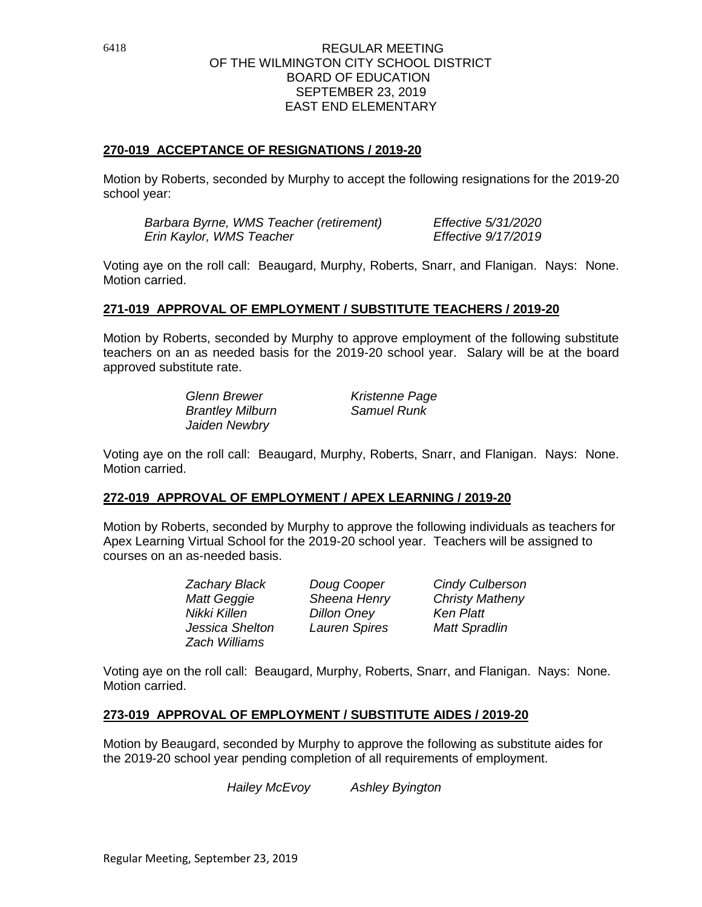## **270-019 ACCEPTANCE OF RESIGNATIONS / 2019-20**

Motion by Roberts, seconded by Murphy to accept the following resignations for the 2019-20 school year:

*Barbara Byrne, WMS Teacher (retirement) Effective 5/31/2020 Erin Kaylor, WMS Teacher Effective 9/17/2019*

Voting aye on the roll call: Beaugard, Murphy, Roberts, Snarr, and Flanigan. Nays: None. Motion carried.

### **271-019 APPROVAL OF EMPLOYMENT / SUBSTITUTE TEACHERS / 2019-20**

Motion by Roberts, seconded by Murphy to approve employment of the following substitute teachers on an as needed basis for the 2019-20 school year. Salary will be at the board approved substitute rate.

> *Glenn Brewer Kristenne Page Brantley Milburn Jaiden Newbry*

Voting aye on the roll call: Beaugard, Murphy, Roberts, Snarr, and Flanigan. Nays: None. Motion carried.

#### **272-019 APPROVAL OF EMPLOYMENT / APEX LEARNING / 2019-20**

Motion by Roberts, seconded by Murphy to approve the following individuals as teachers for Apex Learning Virtual School for the 2019-20 school year. Teachers will be assigned to courses on an as-needed basis.

> *Nikki Killen Dillon Oney Ken Platt Jessica Shelton Lauren Spires Matt Spradlin Zach Williams*

*Zachary Black Doug Cooper Cindy Culberson Matt Geggie Sheena Henry Christy Matheny*

Voting aye on the roll call: Beaugard, Murphy, Roberts, Snarr, and Flanigan. Nays: None. Motion carried.

#### **273-019 APPROVAL OF EMPLOYMENT / SUBSTITUTE AIDES / 2019-20**

Motion by Beaugard, seconded by Murphy to approve the following as substitute aides for the 2019-20 school year pending completion of all requirements of employment.

*Hailey McEvoy Ashley Byington*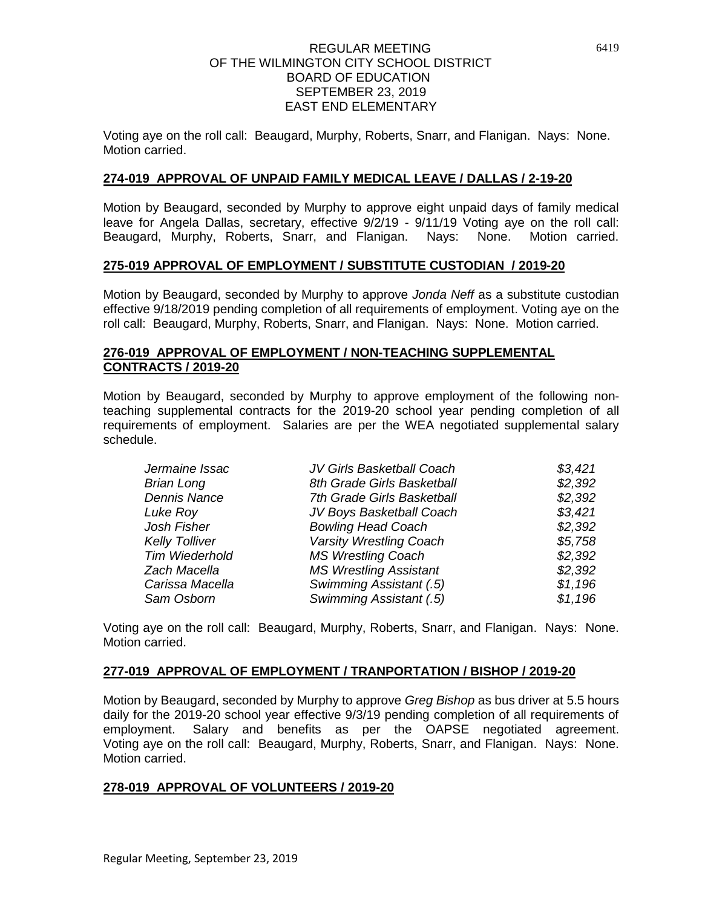Voting aye on the roll call: Beaugard, Murphy, Roberts, Snarr, and Flanigan. Nays: None. Motion carried.

## **274-019 APPROVAL OF UNPAID FAMILY MEDICAL LEAVE / DALLAS / 2-19-20**

Motion by Beaugard, seconded by Murphy to approve eight unpaid days of family medical leave for Angela Dallas, secretary, effective 9/2/19 - 9/11/19 Voting aye on the roll call: Beaugard, Murphy, Roberts, Snarr, and Flanigan. Nays: None. Motion carried.

### **275-019 APPROVAL OF EMPLOYMENT / SUBSTITUTE CUSTODIAN / 2019-20**

Motion by Beaugard, seconded by Murphy to approve *Jonda Neff* as a substitute custodian effective 9/18/2019 pending completion of all requirements of employment. Voting aye on the roll call: Beaugard, Murphy, Roberts, Snarr, and Flanigan. Nays: None. Motion carried.

### **276-019 APPROVAL OF EMPLOYMENT / NON-TEACHING SUPPLEMENTAL CONTRACTS / 2019-20**

Motion by Beaugard, seconded by Murphy to approve employment of the following nonteaching supplemental contracts for the 2019-20 school year pending completion of all requirements of employment. Salaries are per the WEA negotiated supplemental salary schedule.

| Jermaine Issac        | JV Girls Basketball Coach      | \$3,421 |
|-----------------------|--------------------------------|---------|
| <b>Brian Long</b>     | 8th Grade Girls Basketball     | \$2,392 |
| <b>Dennis Nance</b>   | 7th Grade Girls Basketball     | \$2,392 |
| Luke Roy              | JV Boys Basketball Coach       | \$3,421 |
| Josh Fisher           | <b>Bowling Head Coach</b>      | \$2,392 |
| <b>Kelly Tolliver</b> | <b>Varsity Wrestling Coach</b> | \$5,758 |
| <b>Tim Wiederhold</b> | <b>MS Wrestling Coach</b>      |         |
| Zach Macella          | <b>MS Wrestling Assistant</b>  | \$2,392 |
| Carissa Macella       | Swimming Assistant (.5)        | \$1,196 |
| Sam Osborn            | Swimming Assistant (.5)        | \$1,196 |

Voting aye on the roll call: Beaugard, Murphy, Roberts, Snarr, and Flanigan. Nays: None. Motion carried.

#### **277-019 APPROVAL OF EMPLOYMENT / TRANPORTATION / BISHOP / 2019-20**

Motion by Beaugard, seconded by Murphy to approve *Greg Bishop* as bus driver at 5.5 hours daily for the 2019-20 school year effective 9/3/19 pending completion of all requirements of employment. Salary and benefits as per the OAPSE negotiated agreement. Voting aye on the roll call: Beaugard, Murphy, Roberts, Snarr, and Flanigan. Nays: None. Motion carried.

## **278-019 APPROVAL OF VOLUNTEERS / 2019-20**